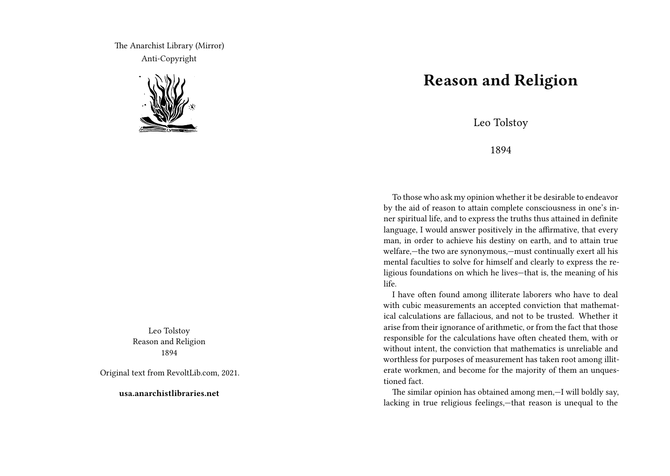The Anarchist Library (Mirror) Anti-Copyright



Leo Tolstoy Reason and Religion 1894

Original text from RevoltLib.com, 2021.

**usa.anarchistlibraries.net**

## **Reason and Religion**

Leo Tolstoy

1894

To those who ask my opinion whether it be desirable to endeavor by the aid of reason to attain complete consciousness in one's inner spiritual life, and to express the truths thus attained in definite language, I would answer positively in the affirmative, that every man, in order to achieve his destiny on earth, and to attain true welfare,—the two are synonymous,—must continually exert all his mental faculties to solve for himself and clearly to express the religious foundations on which he lives—that is, the meaning of his life.

I have often found among illiterate laborers who have to deal with cubic measurements an accepted conviction that mathematical calculations are fallacious, and not to be trusted. Whether it arise from their ignorance of arithmetic, or from the fact that those responsible for the calculations have often cheated them, with or without intent, the conviction that mathematics is unreliable and worthless for purposes of measurement has taken root among illiterate workmen, and become for the majority of them an unquestioned fact.

The similar opinion has obtained among men,—I will boldly say, lacking in true religious feelings,—that reason is unequal to the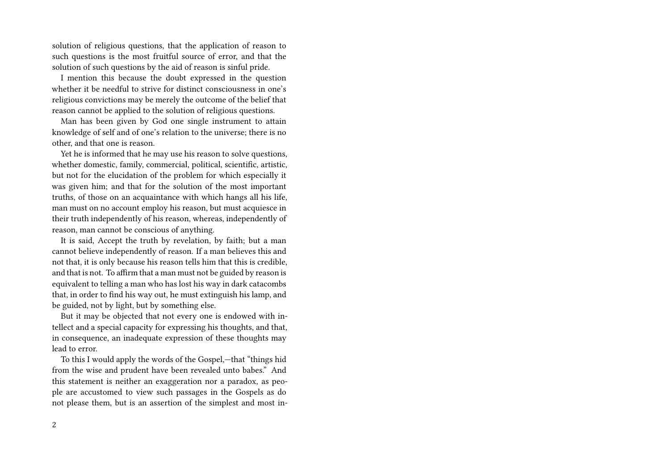solution of religious questions, that the application of reason to such questions is the most fruitful source of error, and that the solution of such questions by the aid of reason is sinful pride.

I mention this because the doubt expressed in the question whether it be needful to strive for distinct consciousness in one's religious convictions may be merely the outcome of the belief that reason cannot be applied to the solution of religious questions.

Man has been given by God one single instrument to attain knowledge of self and of one's relation to the universe; there is no other, and that one is reason.

Yet he is informed that he may use his reason to solve questions, whether domestic, family, commercial, political, scientific, artistic, but not for the elucidation of the problem for which especially it was given him; and that for the solution of the most important truths, of those on an acquaintance with which hangs all his life, man must on no account employ his reason, but must acquiesce in their truth independently of his reason, whereas, independently of reason, man cannot be conscious of anything.

It is said, Accept the truth by revelation, by faith; but a man cannot believe independently of reason. If a man believes this and not that, it is only because his reason tells him that this is credible, and that is not. To affirm that a man must not be guided by reason is equivalent to telling a man who has lost his way in dark catacombs that, in order to find his way out, he must extinguish his lamp, and be guided, not by light, but by something else.

But it may be objected that not every one is endowed with intellect and a special capacity for expressing his thoughts, and that, in consequence, an inadequate expression of these thoughts may lead to error.

To this I would apply the words of the Gospel,—that "things hid from the wise and prudent have been revealed unto babes." And this statement is neither an exaggeration nor a paradox, as people are accustomed to view such passages in the Gospels as do not please them, but is an assertion of the simplest and most in-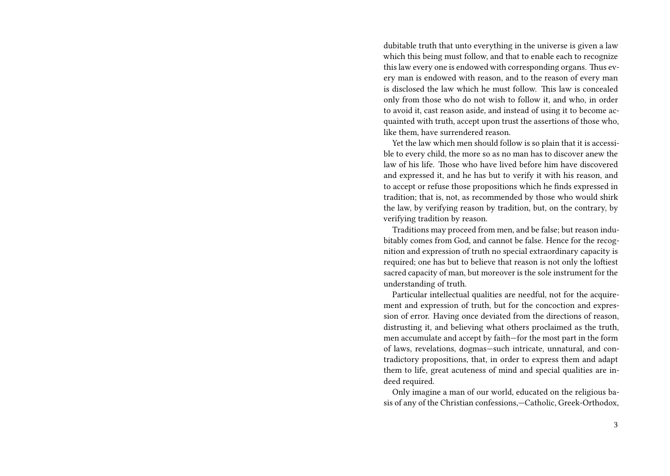dubitable truth that unto everything in the universe is given a law which this being must follow, and that to enable each to recognize this law every one is endowed with corresponding organs. Thus every man is endowed with reason, and to the reason of every man is disclosed the law which he must follow. This law is concealed only from those who do not wish to follow it, and who, in order to avoid it, cast reason aside, and instead of using it to become acquainted with truth, accept upon trust the assertions of those who, like them, have surrendered reason.

Yet the law which men should follow is so plain that it is accessible to every child, the more so as no man has to discover anew the law of his life. Those who have lived before him have discovered and expressed it, and he has but to verify it with his reason, and to accept or refuse those propositions which he finds expressed in tradition; that is, not, as recommended by those who would shirk the law, by verifying reason by tradition, but, on the contrary, by verifying tradition by reason.

Traditions may proceed from men, and be false; but reason indubitably comes from God, and cannot be false. Hence for the recognition and expression of truth no special extraordinary capacity is required; one has but to believe that reason is not only the loftiest sacred capacity of man, but moreover is the sole instrument for the understanding of truth.

Particular intellectual qualities are needful, not for the acquirement and expression of truth, but for the concoction and expression of error. Having once deviated from the directions of reason, distrusting it, and believing what others proclaimed as the truth, men accumulate and accept by faith—for the most part in the form of laws, revelations, dogmas—such intricate, unnatural, and contradictory propositions, that, in order to express them and adapt them to life, great acuteness of mind and special qualities are indeed required.

Only imagine a man of our world, educated on the religious basis of any of the Christian confessions,—Catholic, Greek-Orthodox,